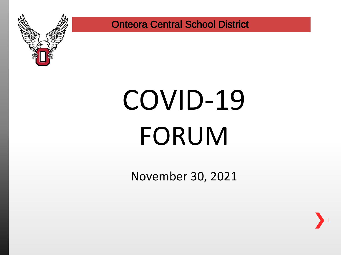

# COVID-19 FORUM

November 30, 2021

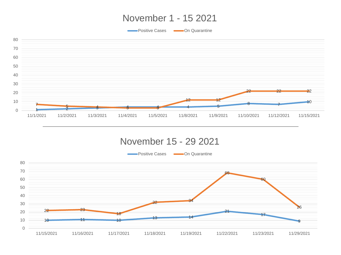#### November 1 - 15 2021

 $\frac{1}{2}$   $\frac{1}{3}$   $\frac{1}{3}$   $\frac{1}{3}$   $\frac{1}{4}$   $\frac{1}{5}$  8 7 10 12 22 22 11/1/2021 11/2/2021 11/3/2021 11/4/2021 11/5/2021 11/8/2021 11/9/2021 11/10/2021 11/12/2021 11/15/2021 **EXECUTE:** Positive Cases **CONFIDENT** On Quarantine

#### November 15 - 29 2021

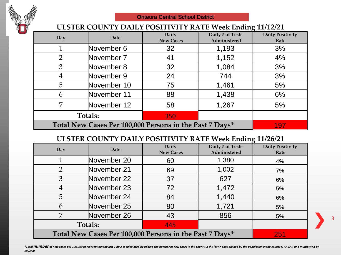

#### **ULSTER COUNTY DAILY POSITIVITY RATE Week Ending 11/12/21**

| Day                                                     | Date        | Daily<br><b>New Cases</b> | Daily # of Tests<br>Administered | $\boldsymbol{\omega}$<br><b>Daily Positivity</b><br>Rate |
|---------------------------------------------------------|-------------|---------------------------|----------------------------------|----------------------------------------------------------|
|                                                         | November 6  | 32                        | 1,193                            | 3%                                                       |
| $\overline{2}$                                          | November 7  | 41                        | 1,152                            | 4%                                                       |
| 3                                                       | November 8  | 32                        | 1,084                            | 3%                                                       |
| 4                                                       | November 9  | 24                        | 744                              | 3%                                                       |
| 5                                                       | November 10 | 75                        | 1,461                            | 5%                                                       |
| 6                                                       | November 11 | 88                        | 1,438                            | 6%                                                       |
|                                                         | November 12 | 58                        | 1,267                            | 5%                                                       |
| Totals:                                                 |             | 350                       |                                  |                                                          |
| Total New Cases Per 100,000 Persons in the Past 7 Days* | 197         |                           |                                  |                                                          |

#### **ULSTER COUNTY DAILY POSITIVITY RATE Week Ending 11/26/21**

| Day                                                     | Date        | Daily<br><b>New Cases</b> | Daily # of Tests<br>Administered | <b>Daily Positivity</b><br>Rate |
|---------------------------------------------------------|-------------|---------------------------|----------------------------------|---------------------------------|
|                                                         |             |                           |                                  |                                 |
|                                                         | November 20 | 60                        | 1,380                            | 4%                              |
| 2                                                       | November 21 | 69                        | 1,002                            | 7%                              |
| 3                                                       | November 22 | 37                        | 627                              | 6%                              |
| 4                                                       | November 23 | 72                        | 1,472                            | 5%                              |
| 5                                                       | November 24 | 84                        | 1,440                            | 6%                              |
| 6                                                       | November 25 | 80                        | 1,721                            | 5%                              |
| 7                                                       | November 26 | 43                        | 856                              | 5%                              |
| <b>Totals:</b>                                          |             | 445                       |                                  |                                 |
| Total New Cases Per 100,000 Persons in the Past 7 Days* | 251         |                           |                                  |                                 |

\*Total NUMDET of new cases per 100,000 persons within the last 7 days is calculated by adding the number of new cases in the county in the last 7 days divided by the population in the county (177,577) and multiplying by *100,000.*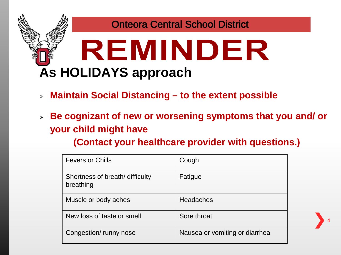## Onteora Central School District REMINDER **As HOLIDAYS approach**

- ⮚ **Maintain Social Distancing – to the extent possible**
- ⮚ **Be cognizant of new or worsening symptoms that you and/ or your child might have**

**(Contact your healthcare provider with questions.)**

| <b>Fevers or Chills</b>                     | Cough                          |  |  |
|---------------------------------------------|--------------------------------|--|--|
| Shortness of breath/difficulty<br>breathing | Fatigue                        |  |  |
| Muscle or body aches                        | <b>Headaches</b>               |  |  |
| New loss of taste or smell                  | Sore throat                    |  |  |
| Congestion/runny nose                       | Nausea or vomiting or diarrhea |  |  |

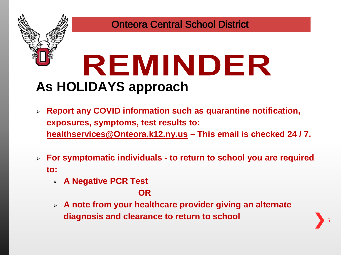

## REMINDER **As HOLIDAYS approach**

- ⮚ **Report any COVID information such as quarantine notification, exposures, symptoms, test results to: [healthservices@Onteora.k12.ny.us](mailto:healthservices@Onteora.k12.ny.us) – This email is checked 24 / 7.**
- ⮚ **For symptomatic individuals - to return to school you are required to:**
	- ⮚ **A Negative PCR Test**

#### **OR**

⮚ **A note from your healthcare provider giving an alternate diagnosis and clearance to return to school** <sup>5</sup>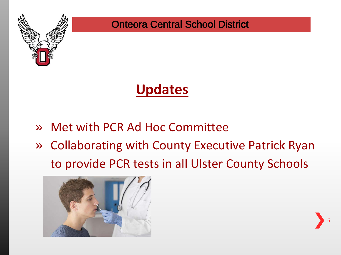

## **Updates**

- » Met with PCR Ad Hoc Committee
- » Collaborating with County Executive Patrick Ryan to provide PCR tests in all Ulster County Schools



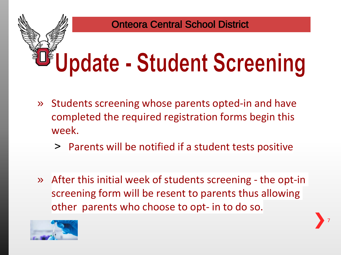

- » Students screening whose parents opted-in and have completed the required registration forms begin this week.
	- > Parents will be notified if a student tests positive
- » After this initial week of students screening the opt-in screening form will be resent to parents thus allowing other parents who choose to opt- in to do so.



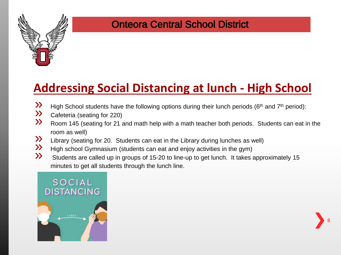

## **Addressing Social Distancing at lunch - High School**

- High School students have the following options during their lunch periods (6<sup>th</sup> and 7<sup>th</sup> period):<br> **Exercise** Cafeteria (seating for 220)
- $\mathcal{W}$  Cafeteria (seating for 220)
- » Room 145 (seating for 21 and math help with a math teacher both periods. Students can eat in the room as well)
- $\overrightarrow{v}$  Library (seating for 20. Students can eat in the Library during lunches as well)<br> $\overrightarrow{v}$  High school Gymnasium (students can eat and enjoy activities in the gym)
- $\mathcal{W}$  High school Gymnasium (students can eat and enjoy activities in the gym)<br> $\mathcal{W}$  Students are called up in groups of 15-20 to line-up to get lunch. It takes a
- » Students are called up in groups of 15-20 to line-up to get lunch. It takes approximately 15 minutes to get all students through the lunch line.

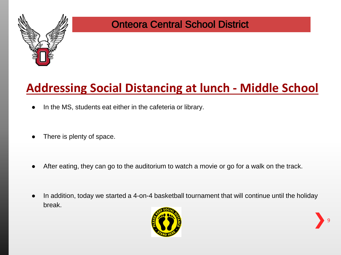

### **Addressing Social Distancing at lunch - Middle School**

- In the MS, students eat either in the cafeteria or library.
- There is plenty of space.
- After eating, they can go to the auditorium to watch a movie or go for a walk on the track.
- In addition, today we started a 4-on-4 basketball tournament that will continue until the holiday break.

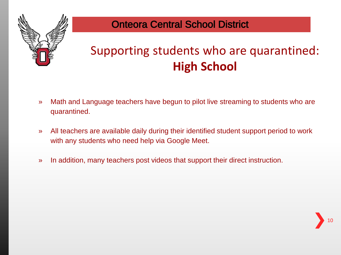

## Supporting students who are quarantined: **High School**

- » Math and Language teachers have begun to pilot live streaming to students who are quarantined.
- » All teachers are available daily during their identified student support period to work with any students who need help via Google Meet.
- » In addition, many teachers post videos that support their direct instruction.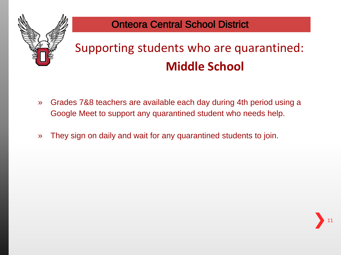

## Supporting students who are quarantined: **Middle School**

- » Grades 7&8 teachers are available each day during 4th period using a Google Meet to support any quarantined student who needs help.
- » They sign on daily and wait for any quarantined students to join.

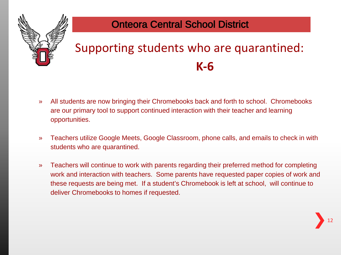

## Supporting students who are quarantined: **K-6**

- » All students are now bringing their Chromebooks back and forth to school. Chromebooks are our primary tool to support continued interaction with their teacher and learning opportunities.
- » Teachers utilize Google Meets, Google Classroom, phone calls, and emails to check in with students who are quarantined.
- » Teachers will continue to work with parents regarding their preferred method for completing work and interaction with teachers. Some parents have requested paper copies of work and these requests are being met. If a student's Chromebook is left at school, will continue to deliver Chromebooks to homes if requested.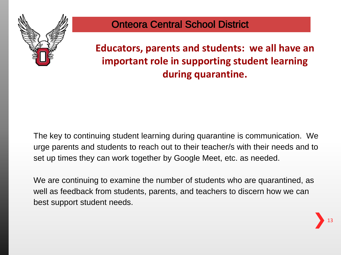

**Educators, parents and students: we all have an important role in supporting student learning during quarantine.**

The key to continuing student learning during quarantine is communication. We urge parents and students to reach out to their teacher/s with their needs and to set up times they can work together by Google Meet, etc. as needed.

We are continuing to examine the number of students who are quarantined, as well as feedback from students, parents, and teachers to discern how we can best support student needs.